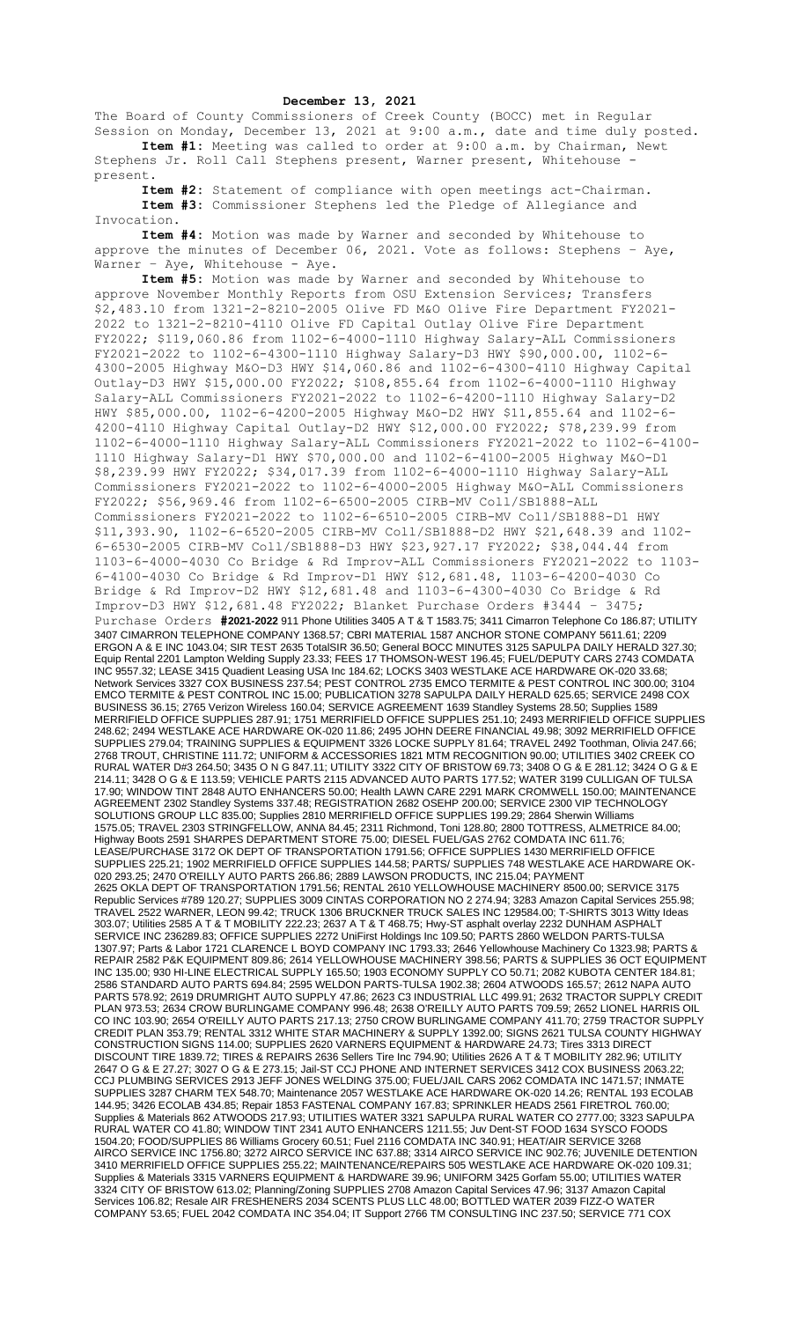## **December 13, 2021**

The Board of County Commissioners of Creek County (BOCC) met in Regular Session on Monday, December 13, 2021 at 9:00 a.m., date and time duly posted. **Item #1:** Meeting was called to order at 9:00 a.m. by Chairman, Newt

Stephens Jr. Roll Call Stephens present, Warner present, Whitehouse present.

**Item #2:** Statement of compliance with open meetings act-Chairman. **Item #3:** Commissioner Stephens led the Pledge of Allegiance and Invocation.

**Item #4:** Motion was made by Warner and seconded by Whitehouse to approve the minutes of December 06, 2021. Vote as follows: Stephens – Aye, Warner - Aye, Whitehouse - Aye.

**Item #5:** Motion was made by Warner and seconded by Whitehouse to approve November Monthly Reports from OSU Extension Services; Transfers \$2,483.10 from 1321-2-8210-2005 Olive FD M&O Olive Fire Department FY2021- 2022 to 1321-2-8210-4110 Olive FD Capital Outlay Olive Fire Department FY2022; \$119,060.86 from 1102-6-4000-1110 Highway Salary-ALL Commissioners FY2021-2022 to 1102-6-4300-1110 Highway Salary-D3 HWY \$90,000.00, 1102-6- 4300-2005 Highway M&O-D3 HWY \$14,060.86 and 1102-6-4300-4110 Highway Capital Outlay-D3 HWY \$15,000.00 FY2022; \$108,855.64 from 1102-6-4000-1110 Highway Salary-ALL Commissioners FY2021-2022 to 1102-6-4200-1110 Highway Salary-D2 HWY \$85,000.00, 1102-6-4200-2005 Highway M&O-D2 HWY \$11,855.64 and 1102-6- 4200-4110 Highway Capital Outlay-D2 HWY \$12,000.00 FY2022; \$78,239.99 from 1102-6-4000-1110 Highway Salary-ALL Commissioners FY2021-2022 to 1102-6-4100- 1110 Highway Salary-D1 HWY \$70,000.00 and 1102-6-4100-2005 Highway M&O-D1 \$8,239.99 HWY FY2022; \$34,017.39 from 1102-6-4000-1110 Highway Salary-ALL Commissioners FY2021-2022 to 1102-6-4000-2005 Highway M&O-ALL Commissioners FY2022; \$56,969.46 from 1102-6-6500-2005 CIRB-MV Coll/SB1888-ALL Commissioners FY2021-2022 to 1102-6-6510-2005 CIRB-MV Coll/SB1888-D1 HWY \$11,393.90, 1102-6-6520-2005 CIRB-MV Coll/SB1888-D2 HWY \$21,648.39 and 1102- 6-6530-2005 CIRB-MV Coll/SB1888-D3 HWY \$23,927.17 FY2022; \$38,044.44 from 1103-6-4000-4030 Co Bridge & Rd Improv-ALL Commissioners FY2021-2022 to 1103- 6-4100-4030 Co Bridge & Rd Improv-D1 HWY \$12,681.48, 1103-6-4200-4030 Co Bridge & Rd Improv-D2 HWY \$12,681.48 and 1103-6-4300-4030 Co Bridge & Rd Improv-D3 HWY \$12,681.48 FY2022; Blanket Purchase Orders #3444 – 3475; Purchase Orders **#2021-2022** 911 Phone Utilities 3405 A T & T 1583.75; 3411 Cimarron Telephone Co 186.87; UTILITY 3407 CIMARRON TELEPHONE COMPANY 1368.57; CBRI MATERIAL 1587 ANCHOR STONE COMPANY 5611.61; 2209 ERGON A & E INC 1043.04; SIR TEST 2635 TotalSIR 36.50; General BOCC MINUTES 3125 SAPULPA DAILY HERALD 327.30; Equip Rental 2201 Lampton Welding Supply 23.33; FEES 17 THOMSON-WEST 196.45; FUEL/DEPUTY CARS 2743 COMDATA INC 9557.32; LEASE 3415 Quadient Leasing USA Inc 184.62; LOCKS 3403 WESTLAKE ACE HARDWARE OK-020 33.68; Network Services 3327 COX BUSINESS 237.54; PEST CONTROL 2735 EMCO TERMITE & PEST CONTROL INC 300.00; 3104 EMCO TERMITE & PEST CONTROL INC 15.00; PUBLICATION 3278 SAPULPA DAILY HERALD 625.65; SERVICE 2498 COX BUSINESS 36.15; 2765 Verizon Wireless 160.04; SERVICE AGREEMENT 1639 Standley Systems 28.50; Supplies 1589 MERRIFIELD OFFICE SUPPLIES 287.91; 1751 MERRIFIELD OFFICE SUPPLIES 251.10; 2493 MERRIFIELD OFFICE SUPPLIES 248.62; 2494 WESTLAKE ACE HARDWARE OK-020 11.86; 2495 JOHN DEERE FINANCIAL 49.98; 3092 MERRIFIELD OFFICE SUPPLIES 279.04; TRAINING SUPPLIES & EQUIPMENT 3326 LOCKE SUPPLY 81.64; TRAVEL 2492 Toothman, Olivia 247.66; 2768 TROUT, CHRISTINE 111.72; UNIFORM & ACCESSORIES 1821 MTM RECOGNITION 90.00; UTILITIES 3402 CREEK CO RURAL WATER D#3 264.50; 3435 O N G 847.11; UTILITY 3322 CITY OF BRISTOW 69.73; 3408 O G & E 281.12; 3424 O G & E 214.11; 3428 O G & E 113.59; VEHICLE PARTS 2115 ADVANCED AUTO PARTS 177.52; WATER 3199 CULLIGAN OF TULSA 17.90; WINDOW TINT 2848 AUTO ENHANCERS 50.00; Health LAWN CARE 2291 MARK CROMWELL 150.00; MAINTENANCE AGREEMENT 2302 Standley Systems 337.48; REGISTRATION 2682 OSEHP 200.00; SERVICE 2300 VIP TECHNOLOGY SOLUTIONS GROUP LLC 835.00; Supplies 2810 MERRIFIELD OFFICE SUPPLIES 199.29; 2864 Sherwin Williams 1575.05; TRAVEL 2303 STRINGFELLOW, ANNA 84.45; 2311 Richmond, Toni 128.80; 2800 TOTTRESS, ALMETRICE 84.00; Highway Boots 2591 SHARPES DEPARTMENT STORE 75.00; DIESEL FUEL/GAS 2762 COMDATA INC 611.76; LEASE/PURCHASE 3172 OK DEPT OF TRANSPORTATION 1791.56; OFFICE SUPPLIES 1430 MERRIFIELD OFFICE SUPPLIES 225.21; 1902 MERRIFIELD OFFICE SUPPLIES 144.58; PARTS/ SUPPLIES 748 WESTLAKE ACE HARDWARE OK-020 293.25; 2470 O'REILLY AUTO PARTS 266.86; 2889 LAWSON PRODUCTS, INC 215.04; PAYMENT 2625 OKLA DEPT OF TRANSPORTATION 1791.56; RENTAL 2610 YELLOWHOUSE MACHINERY 8500.00; SERVICE 3175 Republic Services #789 120.27; SUPPLIES 3009 CINTAS CORPORATION NO 2 274.94; 3283 Amazon Capital Services 255.98; TRAVEL 2522 WARNER, LEON 99.42; TRUCK 1306 BRUCKNER TRUCK SALES INC 129584.00; T-SHIRTS 3013 Witty Ideas 303.07; Utilities 2585 A T & T MOBILITY 222.23; 2637 A T & T 468.75; Hwy-ST asphalt overlay 2232 DUNHAM ASPHALT SERVICE INC 236289.83; OFFICE SUPPLIES 2272 UniFirst Holdings Inc 109.50; PARTS 2860 WELDON PARTS-TULSA 1307.97; Parts & Labor 1721 CLARENCE L BOYD COMPANY INC 1793.33; 2646 Yellowhouse Machinery Co 1323.98; PARTS & REPAIR 2582 P&K EQUIPMENT 809.86; 2614 YELLOWHOUSE MACHINERY 398.56; PARTS & SUPPLIES 36 OCT EQUIPMENT INC 135.00; 930 HI-LINE ELECTRICAL SUPPLY 165.50; 1903 ECONOMY SUPPLY CO 50.71; 2082 KUBOTA CENTER 184.81; 2586 STANDARD AUTO PARTS 694.84; 2595 WELDON PARTS-TULSA 1902.38; 2604 ATWOODS 165.57; 2612 NAPA AUTO PARTS 578.92; 2619 DRUMRIGHT AUTO SUPPLY 47.86; 2623 C3 INDUSTRIAL LLC 499.91; 2632 TRACTOR SUPPLY CREDIT PLAN 973.53; 2634 CROW BURLINGAME COMPANY 996.48; 2638 O'REILLY AUTO PARTS 709.59; 2652 LIONEL HARRIS OIL CO INC 103.90; 2654 O'REILLY AUTO PARTS 217.13; 2750 CROW BURLINGAME COMPANY 411.70; 2759 TRACTOR SUPPLY CREDIT PLAN 353.79; RENTAL 3312 WHITE STAR MACHINERY & SUPPLY 1392.00; SIGNS 2621 TULSA COUNTY HIGHWAY CONSTRUCTION SIGNS 114.00; SUPPLIES 2620 VARNERS EQUIPMENT & HARDWARE 24.73; Tires 3313 DIRECT DISCOUNT TIRE 1839.72; TIRES & REPAIRS 2636 Sellers Tire Inc 794.90; Utilities 2626 A T & T MOBILITY 282.96; UTILITY 2647 O G & E 27.27; 3027 O G & E 273.15; Jail-ST CCJ PHONE AND INTERNET SERVICES 3412 COX BUSINESS 2063.22; CCJ PLUMBING SERVICES 2913 JEFF JONES WELDING 375.00; FUEL/JAIL CARS 2062 COMDATA INC 1471.57; INMATE SUPPLIES 3287 CHARM TEX 548.70; Maintenance 2057 WESTLAKE ACE HARDWARE OK-020 14.26; RENTAL 193 ECOLAB 144.95; 3426 ECOLAB 434.85; Repair 1853 FASTENAL COMPANY 167.83; SPRINKLER HEADS 2561 FIRETROL 760.00; Supplies & Materials 862 ATWOODS 217.93; UTILITIES WATER 3321 SAPULPA RURAL WATER CO 2777.00; 3323 SAPULPA RURAL WATER CO 41.80; WINDOW TINT 2341 AUTO ENHANCERS 1211.55; Juv Dent-ST FOOD 1634 SYSCO FOODS 1504.20; FOOD/SUPPLIES 86 Williams Grocery 60.51; Fuel 2116 COMDATA INC 340.91; HEAT/AIR SERVICE 3268 AIRCO SERVICE INC 1756.80; 3272 AIRCO SERVICE INC 637.88; 3314 AIRCO SERVICE INC 902.76; JUVENILE DETENTION 3410 MERRIFIELD OFFICE SUPPLIES 255.22; MAINTENANCE/REPAIRS 505 WESTLAKE ACE HARDWARE OK-020 109.31; Supplies & Materials 3315 VARNERS EQUIPMENT & HARDWARE 39.96; UNIFORM 3425 Gorfam 55.00; UTILITIES WATER 3324 CITY OF BRISTOW 613.02; Planning/Zoning SUPPLIES 2708 Amazon Capital Services 47.96; 3137 Amazon Capital Services 106.82; Resale AIR FRESHENERS 2034 SCENTS PLUS LLC 48.00; BOTTLED WATER 2039 FIZZ-O WATER COMPANY 53.65; FUEL 2042 COMDATA INC 354.04; IT Support 2766 TM CONSULTING INC 237.50; SERVICE 771 COX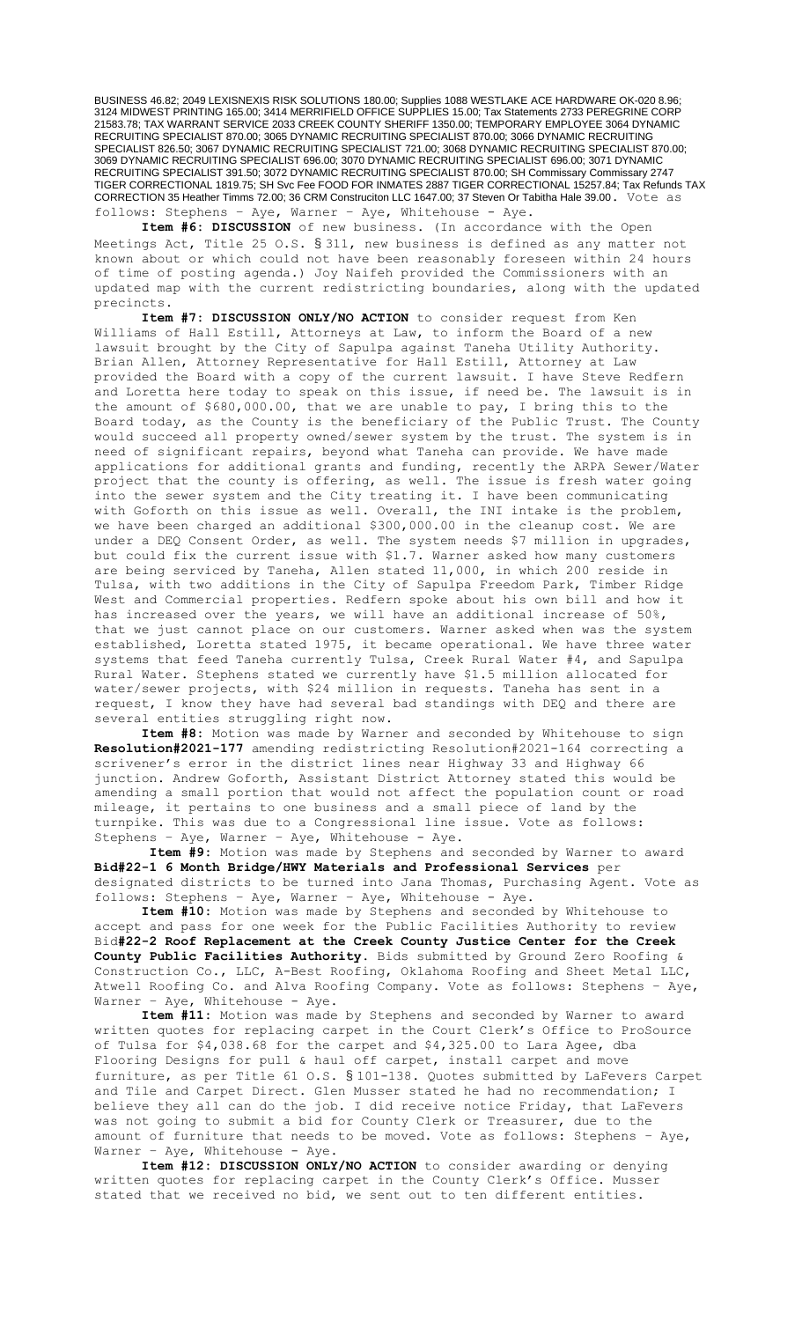BUSINESS 46.82; 2049 LEXISNEXIS RISK SOLUTIONS 180.00; Supplies 1088 WESTLAKE ACE HARDWARE OK-020 8.96; 3124 MIDWEST PRINTING 165.00; 3414 MERRIFIELD OFFICE SUPPLIES 15.00; Tax Statements 2733 PEREGRINE CORP 21583.78; TAX WARRANT SERVICE 2033 CREEK COUNTY SHERIFF 1350.00; TEMPORARY EMPLOYEE 3064 DYNAMIC RECRUITING SPECIALIST 870.00; 3065 DYNAMIC RECRUITING SPECIALIST 870.00; 3066 DYNAMIC RECRUITING SPECIALIST 826.50; 3067 DYNAMIC RECRUITING SPECIALIST 721.00; 3068 DYNAMIC RECRUITING SPECIALIST 870.00; 3069 DYNAMIC RECRUITING SPECIALIST 696.00; 3070 DYNAMIC RECRUITING SPECIALIST 696.00; 3071 DYNAMIC RECRUITING SPECIALIST 391.50; 3072 DYNAMIC RECRUITING SPECIALIST 870.00; SH Commissary Commissary 2747 TIGER CORRECTIONAL 1819.75; SH Svc Fee FOOD FOR INMATES 2887 TIGER CORRECTIONAL 15257.84; Tax Refunds TAX CORRECTION 35 Heather Timms 72.00; 36 CRM Construciton LLC 1647.00; 37 Steven Or Tabitha Hale 39.00. Vote as follows: Stephens – Aye, Warner – Aye, Whitehouse - Aye.

**Item #6: DISCUSSION** of new business. (In accordance with the Open Meetings Act, Title 25 O.S. § 311, new business is defined as any matter not known about or which could not have been reasonably foreseen within 24 hours of time of posting agenda.) Joy Naifeh provided the Commissioners with an updated map with the current redistricting boundaries, along with the updated precincts.

**Item #7: DISCUSSION ONLY/NO ACTION** to consider request from Ken Williams of Hall Estill, Attorneys at Law, to inform the Board of a new lawsuit brought by the City of Sapulpa against Taneha Utility Authority. Brian Allen, Attorney Representative for Hall Estill, Attorney at Law provided the Board with a copy of the current lawsuit. I have Steve Redfern and Loretta here today to speak on this issue, if need be. The lawsuit is in the amount of \$680,000.00, that we are unable to pay, I bring this to the Board today, as the County is the beneficiary of the Public Trust. The County would succeed all property owned/sewer system by the trust. The system is in need of significant repairs, beyond what Taneha can provide. We have made applications for additional grants and funding, recently the ARPA Sewer/Water project that the county is offering, as well. The issue is fresh water going into the sewer system and the City treating it. I have been communicating with Goforth on this issue as well. Overall, the INI intake is the problem, we have been charged an additional \$300,000.00 in the cleanup cost. We are under a DEQ Consent Order, as well. The system needs \$7 million in upgrades, but could fix the current issue with \$1.7. Warner asked how many customers are being serviced by Taneha, Allen stated 11,000, in which 200 reside in Tulsa, with two additions in the City of Sapulpa Freedom Park, Timber Ridge West and Commercial properties. Redfern spoke about his own bill and how it has increased over the years, we will have an additional increase of 50%, that we just cannot place on our customers. Warner asked when was the system established, Loretta stated 1975, it became operational. We have three water systems that feed Taneha currently Tulsa, Creek Rural Water #4, and Sapulpa Rural Water. Stephens stated we currently have \$1.5 million allocated for water/sewer projects, with \$24 million in requests. Taneha has sent in a request, I know they have had several bad standings with DEQ and there are several entities struggling right now.

**Item #8:** Motion was made by Warner and seconded by Whitehouse to sign **Resolution#2021-177** amending redistricting Resolution#2021-164 correcting a scrivener's error in the district lines near Highway 33 and Highway 66 junction. Andrew Goforth, Assistant District Attorney stated this would be amending a small portion that would not affect the population count or road mileage, it pertains to one business and a small piece of land by the turnpike. This was due to a Congressional line issue. Vote as follows: Stephens – Aye, Warner – Aye, Whitehouse - Aye.

**Item #9:** Motion was made by Stephens and seconded by Warner to award **Bid#22-1 6 Month Bridge/HWY Materials and Professional Services** per designated districts to be turned into Jana Thomas, Purchasing Agent. Vote as follows: Stephens – Aye, Warner – Aye, Whitehouse - Aye.

**Item #10:** Motion was made by Stephens and seconded by Whitehouse to accept and pass for one week for the Public Facilities Authority to review Bid**#22-2 Roof Replacement at the Creek County Justice Center for the Creek County Public Facilities Authority.** Bids submitted by Ground Zero Roofing & Construction Co., LLC, A-Best Roofing, Oklahoma Roofing and Sheet Metal LLC, Atwell Roofing Co. and Alva Roofing Company. Vote as follows: Stephens – Aye, Warner - Aye, Whitehouse - Aye.

**Item #11:** Motion was made by Stephens and seconded by Warner to award written quotes for replacing carpet in the Court Clerk's Office to ProSource of Tulsa for \$4,038.68 for the carpet and \$4,325.00 to Lara Agee, dba Flooring Designs for pull & haul off carpet, install carpet and move furniture, as per Title 61 O.S. § 101-138. Quotes submitted by LaFevers Carpet and Tile and Carpet Direct. Glen Musser stated he had no recommendation; I believe they all can do the job. I did receive notice Friday, that LaFevers was not going to submit a bid for County Clerk or Treasurer, due to the amount of furniture that needs to be moved. Vote as follows: Stephens – Aye, Warner - Aye, Whitehouse - Aye.

**Item #12: DISCUSSION ONLY/NO ACTION** to consider awarding or denying written quotes for replacing carpet in the County Clerk's Office. Musser stated that we received no bid, we sent out to ten different entities.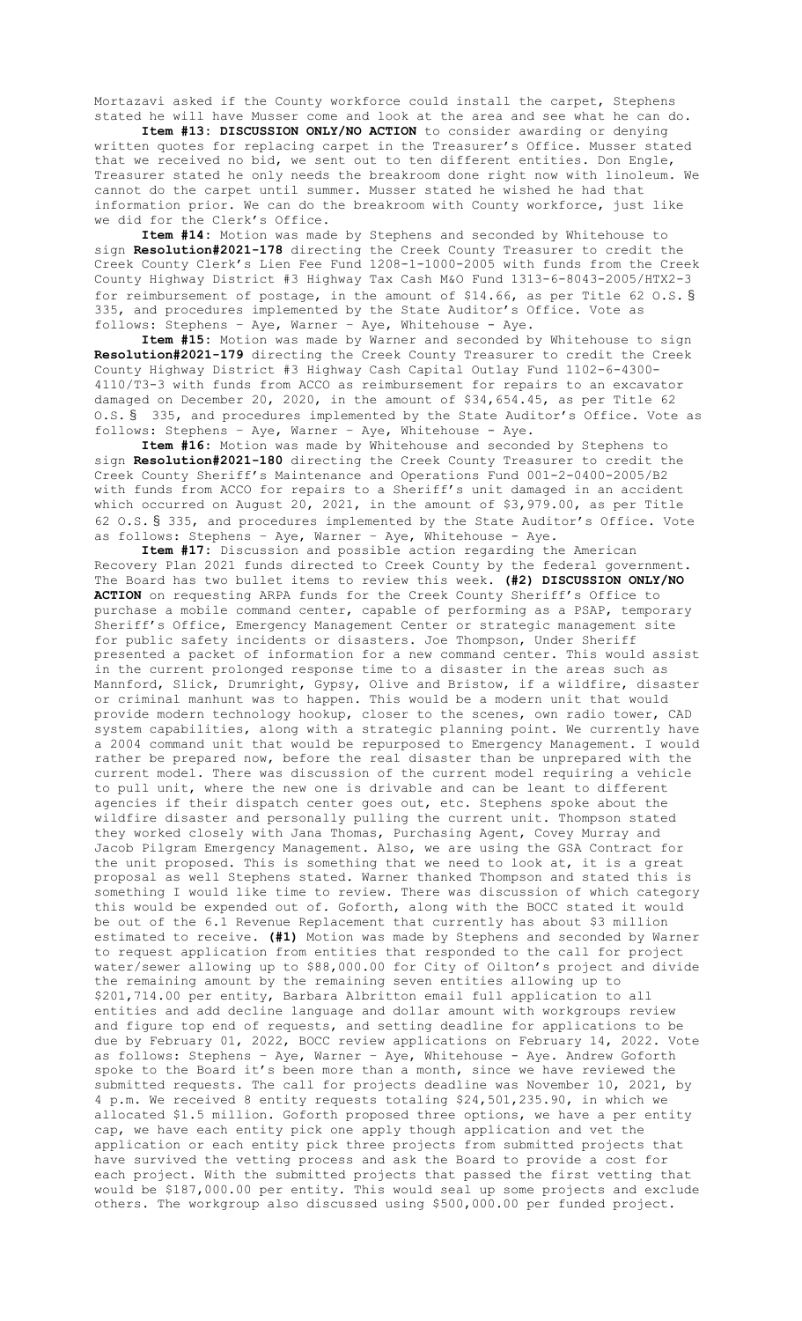Mortazavi asked if the County workforce could install the carpet, Stephens stated he will have Musser come and look at the area and see what he can do.

**Item #13: DISCUSSION ONLY/NO ACTION** to consider awarding or denying written quotes for replacing carpet in the Treasurer's Office. Musser stated that we received no bid, we sent out to ten different entities. Don Engle, Treasurer stated he only needs the breakroom done right now with linoleum. We cannot do the carpet until summer. Musser stated he wished he had that information prior. We can do the breakroom with County workforce, just like we did for the Clerk's Office.

**Item #14:** Motion was made by Stephens and seconded by Whitehouse to sign **Resolution#2021-178** directing the Creek County Treasurer to credit the Creek County Clerk's Lien Fee Fund 1208-1-1000-2005 with funds from the Creek County Highway District #3 Highway Tax Cash M&O Fund 1313-6-8043-2005/HTX2-3 for reimbursement of postage, in the amount of \$14.66, as per Title 62 O.S. § 335, and procedures implemented by the State Auditor's Office. Vote as follows: Stephens – Aye, Warner – Aye, Whitehouse - Aye.

**Item #15:** Motion was made by Warner and seconded by Whitehouse to sign **Resolution#2021-179** directing the Creek County Treasurer to credit the Creek County Highway District #3 Highway Cash Capital Outlay Fund 1102-6-4300- 4110/T3-3 with funds from ACCO as reimbursement for repairs to an excavator damaged on December 20, 2020, in the amount of \$34,654.45, as per Title 62 O.S. § 335, and procedures implemented by the State Auditor's Office. Vote as follows: Stephens – Aye, Warner – Aye, Whitehouse - Aye.

**Item #16:** Motion was made by Whitehouse and seconded by Stephens to sign **Resolution#2021-180** directing the Creek County Treasurer to credit the Creek County Sheriff's Maintenance and Operations Fund 001-2-0400-2005/B2 with funds from ACCO for repairs to a Sheriff's unit damaged in an accident which occurred on August 20, 2021, in the amount of \$3,979.00, as per Title 62 O.S. § 335, and procedures implemented by the State Auditor's Office. Vote as follows: Stephens – Aye, Warner – Aye, Whitehouse - Aye.

**Item #17:** Discussion and possible action regarding the American Recovery Plan 2021 funds directed to Creek County by the federal government. The Board has two bullet items to review this week. **(#2) DISCUSSION ONLY/NO ACTION** on requesting ARPA funds for the Creek County Sheriff's Office to purchase a mobile command center, capable of performing as a PSAP, temporary Sheriff's Office, Emergency Management Center or strategic management site for public safety incidents or disasters. Joe Thompson, Under Sheriff presented a packet of information for a new command center. This would assist in the current prolonged response time to a disaster in the areas such as Mannford, Slick, Drumright, Gypsy, Olive and Bristow, if a wildfire, disaster or criminal manhunt was to happen. This would be a modern unit that would provide modern technology hookup, closer to the scenes, own radio tower, CAD system capabilities, along with a strategic planning point. We currently have a 2004 command unit that would be repurposed to Emergency Management. I would rather be prepared now, before the real disaster than be unprepared with the current model. There was discussion of the current model requiring a vehicle to pull unit, where the new one is drivable and can be leant to different agencies if their dispatch center goes out, etc. Stephens spoke about the wildfire disaster and personally pulling the current unit. Thompson stated they worked closely with Jana Thomas, Purchasing Agent, Covey Murray and Jacob Pilgram Emergency Management. Also, we are using the GSA Contract for the unit proposed. This is something that we need to look at, it is a great proposal as well Stephens stated. Warner thanked Thompson and stated this is something I would like time to review. There was discussion of which category this would be expended out of. Goforth, along with the BOCC stated it would be out of the 6.1 Revenue Replacement that currently has about \$3 million estimated to receive. **(#1)** Motion was made by Stephens and seconded by Warner to request application from entities that responded to the call for project water/sewer allowing up to \$88,000.00 for City of Oilton's project and divide the remaining amount by the remaining seven entities allowing up to \$201,714.00 per entity, Barbara Albritton email full application to all entities and add decline language and dollar amount with workgroups review and figure top end of requests, and setting deadline for applications to be due by February 01, 2022, BOCC review applications on February 14, 2022. Vote as follows: Stephens – Aye, Warner – Aye, Whitehouse - Aye. Andrew Goforth spoke to the Board it's been more than a month, since we have reviewed the submitted requests. The call for projects deadline was November 10, 2021, by 4 p.m. We received 8 entity requests totaling \$24,501,235.90, in which we allocated \$1.5 million. Goforth proposed three options, we have a per entity cap, we have each entity pick one apply though application and vet the application or each entity pick three projects from submitted projects that have survived the vetting process and ask the Board to provide a cost for each project. With the submitted projects that passed the first vetting that would be \$187,000.00 per entity. This would seal up some projects and exclude others. The workgroup also discussed using \$500,000.00 per funded project.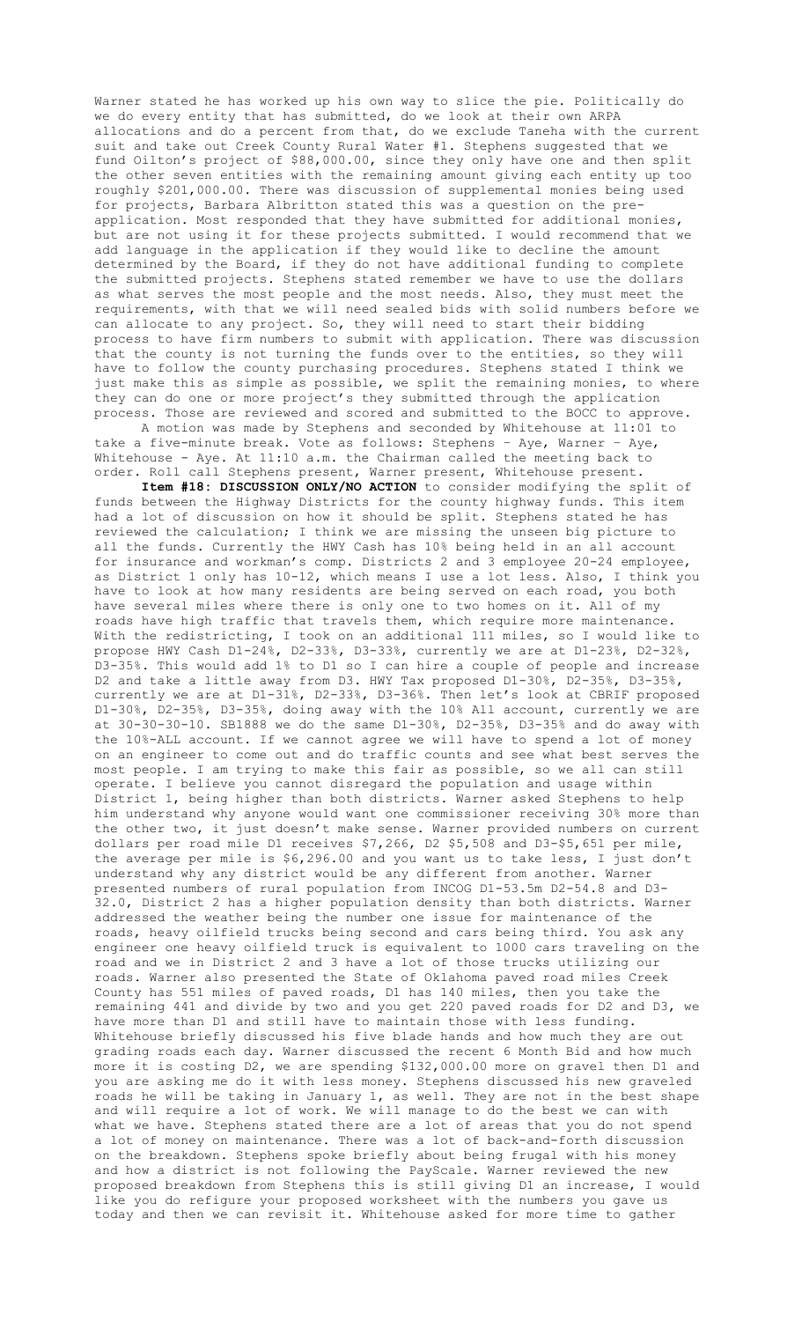Warner stated he has worked up his own way to slice the pie. Politically do we do every entity that has submitted, do we look at their own ARPA allocations and do a percent from that, do we exclude Taneha with the current suit and take out Creek County Rural Water #1. Stephens suggested that we fund Oilton's project of \$88,000.00, since they only have one and then split the other seven entities with the remaining amount giving each entity up too roughly \$201,000.00. There was discussion of supplemental monies being used for projects, Barbara Albritton stated this was a question on the preapplication. Most responded that they have submitted for additional monies, but are not using it for these projects submitted. I would recommend that we add language in the application if they would like to decline the amount determined by the Board, if they do not have additional funding to complete the submitted projects. Stephens stated remember we have to use the dollars as what serves the most people and the most needs. Also, they must meet the requirements, with that we will need sealed bids with solid numbers before we can allocate to any project. So, they will need to start their bidding process to have firm numbers to submit with application. There was discussion that the county is not turning the funds over to the entities, so they will have to follow the county purchasing procedures. Stephens stated I think we just make this as simple as possible, we split the remaining monies, to where they can do one or more project's they submitted through the application process. Those are reviewed and scored and submitted to the BOCC to approve.

A motion was made by Stephens and seconded by Whitehouse at 11:01 to take a five-minute break. Vote as follows: Stephens – Aye, Warner – Aye, Whitehouse - Aye. At 11:10 a.m. the Chairman called the meeting back to order. Roll call Stephens present, Warner present, Whitehouse present.

**Item #18: DISCUSSION ONLY/NO ACTION** to consider modifying the split of funds between the Highway Districts for the county highway funds. This item had a lot of discussion on how it should be split. Stephens stated he has reviewed the calculation; I think we are missing the unseen big picture to all the funds. Currently the HWY Cash has 10% being held in an all account for insurance and workman's comp. Districts 2 and 3 employee 20-24 employee, as District 1 only has 10-12, which means I use a lot less. Also, I think you have to look at how many residents are being served on each road, you both have several miles where there is only one to two homes on it. All of my roads have high traffic that travels them, which require more maintenance. With the redistricting, I took on an additional 111 miles, so I would like to propose HWY Cash D1-24%, D2-33%, D3-33%, currently we are at D1-23%, D2-32%, D3-35%. This would add 1% to D1 so I can hire a couple of people and increase D2 and take a little away from D3. HWY Tax proposed D1-30%, D2-35%, D3-35%, currently we are at D1-31%, D2-33%, D3-36%. Then let's look at CBRIF proposed D1-30%, D2-35%, D3-35%, doing away with the 10% All account, currently we are at 30-30-30-10. SB1888 we do the same D1-30%, D2-35%, D3-35% and do away with the 10%-ALL account. If we cannot agree we will have to spend a lot of money on an engineer to come out and do traffic counts and see what best serves the most people. I am trying to make this fair as possible, so we all can still operate. I believe you cannot disregard the population and usage within District 1, being higher than both districts. Warner asked Stephens to help him understand why anyone would want one commissioner receiving 30% more than the other two, it just doesn't make sense. Warner provided numbers on current dollars per road mile D1 receives \$7,266, D2 \$5,508 and D3-\$5,651 per mile, the average per mile is \$6,296.00 and you want us to take less, I just don't understand why any district would be any different from another. Warner presented numbers of rural population from INCOG D1-53.5m D2-54.8 and D3- 32.0, District 2 has a higher population density than both districts. Warner addressed the weather being the number one issue for maintenance of the roads, heavy oilfield trucks being second and cars being third. You ask any engineer one heavy oilfield truck is equivalent to 1000 cars traveling on the road and we in District 2 and 3 have a lot of those trucks utilizing our roads. Warner also presented the State of Oklahoma paved road miles Creek County has 551 miles of paved roads, D1 has 140 miles, then you take the remaining 441 and divide by two and you get 220 paved roads for D2 and D3, we have more than D1 and still have to maintain those with less funding. Whitehouse briefly discussed his five blade hands and how much they are out grading roads each day. Warner discussed the recent 6 Month Bid and how much more it is costing D2, we are spending \$132,000.00 more on gravel then D1 and you are asking me do it with less money. Stephens discussed his new graveled roads he will be taking in January 1, as well. They are not in the best shape and will require a lot of work. We will manage to do the best we can with what we have. Stephens stated there are a lot of areas that you do not spend a lot of money on maintenance. There was a lot of back-and-forth discussion on the breakdown. Stephens spoke briefly about being frugal with his money and how a district is not following the PayScale. Warner reviewed the new proposed breakdown from Stephens this is still giving D1 an increase, I would like you do refigure your proposed worksheet with the numbers you gave us today and then we can revisit it. Whitehouse asked for more time to gather